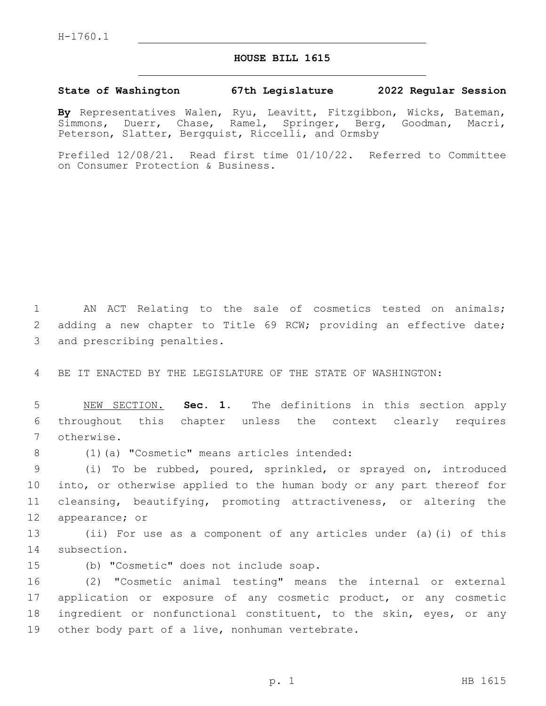## **HOUSE BILL 1615**

## **State of Washington 67th Legislature 2022 Regular Session**

**By** Representatives Walen, Ryu, Leavitt, Fitzgibbon, Wicks, Bateman, Simmons, Duerr, Chase, Ramel, Springer, Berg, Goodman, Macri, Peterson, Slatter, Bergquist, Riccelli, and Ormsby

Prefiled 12/08/21. Read first time 01/10/22. Referred to Committee on Consumer Protection & Business.

1 AN ACT Relating to the sale of cosmetics tested on animals; 2 adding a new chapter to Title 69 RCW; providing an effective date; 3 and prescribing penalties.

4 BE IT ENACTED BY THE LEGISLATURE OF THE STATE OF WASHINGTON:

5 NEW SECTION. **Sec. 1.** The definitions in this section apply 6 throughout this chapter unless the context clearly requires 7 otherwise.

(1)(a) "Cosmetic" means articles intended:8

 (i) To be rubbed, poured, sprinkled, or sprayed on, introduced into, or otherwise applied to the human body or any part thereof for cleansing, beautifying, promoting attractiveness, or altering the 12 appearance; or

13 (ii) For use as a component of any articles under (a)(i) of this 14 subsection.

15 (b) "Cosmetic" does not include soap.

 (2) "Cosmetic animal testing" means the internal or external application or exposure of any cosmetic product, or any cosmetic ingredient or nonfunctional constituent, to the skin, eyes, or any 19 other body part of a live, nonhuman vertebrate.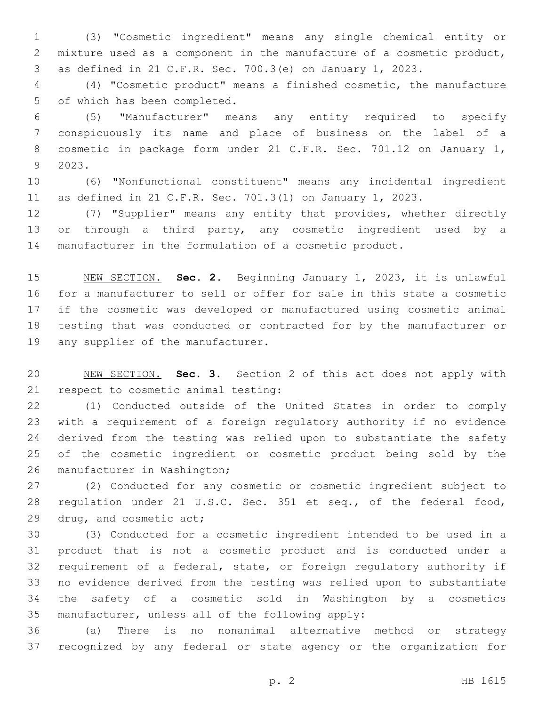(3) "Cosmetic ingredient" means any single chemical entity or mixture used as a component in the manufacture of a cosmetic product, as defined in 21 C.F.R. Sec. 700.3(e) on January 1, 2023.

 (4) "Cosmetic product" means a finished cosmetic, the manufacture 5 of which has been completed.

 (5) "Manufacturer" means any entity required to specify conspicuously its name and place of business on the label of a cosmetic in package form under 21 C.F.R. Sec. 701.12 on January 1, 2023.9

 (6) "Nonfunctional constituent" means any incidental ingredient as defined in 21 C.F.R. Sec. 701.3(1) on January 1, 2023.

 (7) "Supplier" means any entity that provides, whether directly 13 or through a third party, any cosmetic ingredient used by a manufacturer in the formulation of a cosmetic product.

 NEW SECTION. **Sec. 2.** Beginning January 1, 2023, it is unlawful for a manufacturer to sell or offer for sale in this state a cosmetic if the cosmetic was developed or manufactured using cosmetic animal testing that was conducted or contracted for by the manufacturer or any supplier of the manufacturer.

 NEW SECTION. **Sec. 3.** Section 2 of this act does not apply with respect to cosmetic animal testing:

 (1) Conducted outside of the United States in order to comply with a requirement of a foreign regulatory authority if no evidence derived from the testing was relied upon to substantiate the safety of the cosmetic ingredient or cosmetic product being sold by the 26 manufacturer in Washington;

 (2) Conducted for any cosmetic or cosmetic ingredient subject to regulation under 21 U.S.C. Sec. 351 et seq., of the federal food, 29 drug, and cosmetic act;

 (3) Conducted for a cosmetic ingredient intended to be used in a product that is not a cosmetic product and is conducted under a requirement of a federal, state, or foreign regulatory authority if no evidence derived from the testing was relied upon to substantiate the safety of a cosmetic sold in Washington by a cosmetics 35 manufacturer, unless all of the following apply:

 (a) There is no nonanimal alternative method or strategy recognized by any federal or state agency or the organization for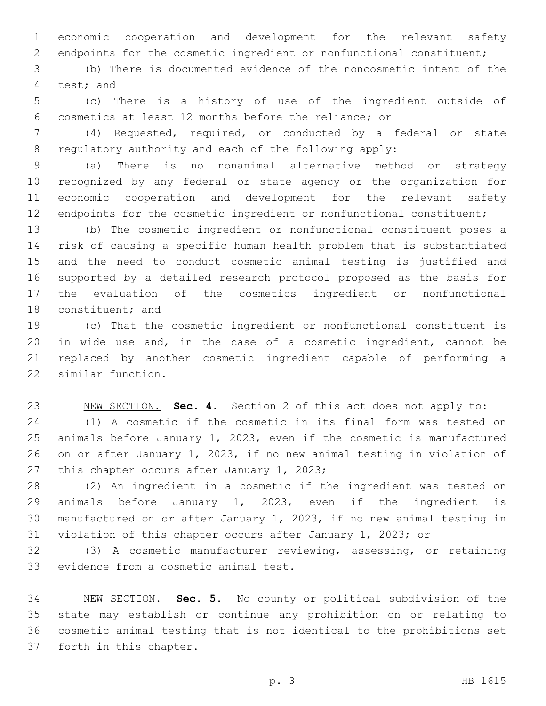economic cooperation and development for the relevant safety endpoints for the cosmetic ingredient or nonfunctional constituent;

 (b) There is documented evidence of the noncosmetic intent of the 4 test; and

 (c) There is a history of use of the ingredient outside of cosmetics at least 12 months before the reliance; or

 (4) Requested, required, or conducted by a federal or state regulatory authority and each of the following apply:

 (a) There is no nonanimal alternative method or strategy recognized by any federal or state agency or the organization for economic cooperation and development for the relevant safety 12 endpoints for the cosmetic ingredient or nonfunctional constituent;

 (b) The cosmetic ingredient or nonfunctional constituent poses a risk of causing a specific human health problem that is substantiated and the need to conduct cosmetic animal testing is justified and supported by a detailed research protocol proposed as the basis for the evaluation of the cosmetics ingredient or nonfunctional 18 constituent; and

 (c) That the cosmetic ingredient or nonfunctional constituent is in wide use and, in the case of a cosmetic ingredient, cannot be replaced by another cosmetic ingredient capable of performing a 22 similar function.

 NEW SECTION. **Sec. 4.** Section 2 of this act does not apply to: (1) A cosmetic if the cosmetic in its final form was tested on animals before January 1, 2023, even if the cosmetic is manufactured on or after January 1, 2023, if no new animal testing in violation of 27 this chapter occurs after January 1, 2023;

 (2) An ingredient in a cosmetic if the ingredient was tested on animals before January 1, 2023, even if the ingredient is manufactured on or after January 1, 2023, if no new animal testing in violation of this chapter occurs after January 1, 2023; or

 (3) A cosmetic manufacturer reviewing, assessing, or retaining 33 evidence from a cosmetic animal test.

 NEW SECTION. **Sec. 5.** No county or political subdivision of the state may establish or continue any prohibition on or relating to cosmetic animal testing that is not identical to the prohibitions set forth in this chapter.